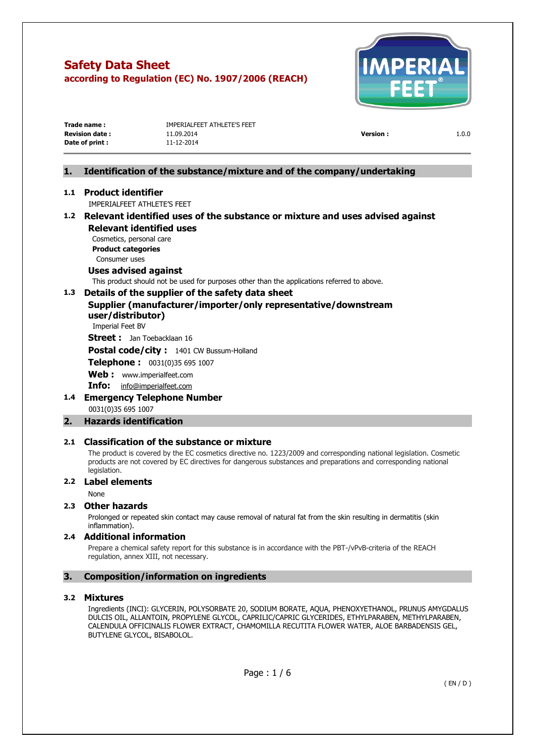

| Trade name :          | IMPERIALFEET ATHLETE'S FEET |                 |       |
|-----------------------|-----------------------------|-----------------|-------|
| <b>Revision date:</b> | 11.09.2014                  | <b>Version:</b> | 1.0.0 |
| Date of print :       | 11-12-2014                  |                 |       |
|                       |                             |                 |       |

### **1. Identification of the substance/mixture and of the company/undertaking**

### **1.1 Product identifier**

IMPERIALFEET ATHLETE'S FEET

### **1.2 Relevant identified uses of the substance or mixture and uses advised against Relevant identified uses**

Cosmetics, personal care **Product categories**  Consumer uses

### **Uses advised against**

This product should not be used for purposes other than the applications referred to above.

### **1.3 Details of the supplier of the safety data sheet**

**Supplier (manufacturer/importer/only representative/downstream user/distributor)** 

Imperial Feet BV

**Street :** Jan Toebacklaan 16

**Postal code/city :** 1401 CW Bussum-Holland

**Telephone :** 0031(0)35 695 1007

**Web :** [www.imperialfeet.com](http://www.imperialfeet.com/)

**Info:** [info@imperialfeet.com](mailto:info@imperialfeet.com)

**1.4 Emergency Telephone Number**  0031(0)35 695 1007

### **2. Hazards identification**

### **2.1 Classification of the substance or mixture**

The product is covered by the EC cosmetics directive no. 1223/2009 and corresponding national legislation. Cosmetic products are not covered by EC directives for dangerous substances and preparations and corresponding national legislation.

### **2.2 Label elements**

None

### **2.3 Other hazards**

Prolonged or repeated skin contact may cause removal of natural fat from the skin resulting in dermatitis (skin inflammation).

### **2.4 Additional information**

Prepare a chemical safety report for this substance is in accordance with the PBT-/vPvB-criteria of the REACH regulation, annex XIII, not necessary.

### **3. Composition/information on ingredients**

### **3.2 Mixtures**

Ingredients (INCI): GLYCERIN, POLYSORBATE 20, SODIUM BORATE, AQUA, PHENOXYETHANOL, PRUNUS AMYGDALUS DULCIS OIL, ALLANTOIN, PROPYLENE GLYCOL, CAPRILIC/CAPRIC GLYCERIDES, ETHYLPARABEN, METHYLPARABEN, CALENDULA OFFICINALIS FLOWER EXTRACT, CHAMOMILLA RECUTITA FLOWER WATER, ALOE BARBADENSIS GEL, BUTYLENE GLYCOL, BISABOLOL.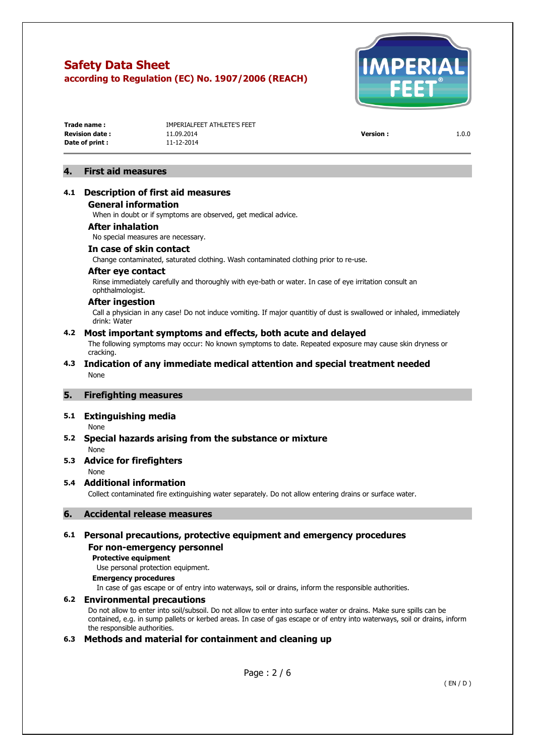

| Trade name:           |  |
|-----------------------|--|
| <b>Revision date:</b> |  |
| Date of print:        |  |

**TMPERTAL FEET ATHLETE'S FEET Revision date :** 11.09.2014 **Version :** 1.0.0 **Date of print :** 11-12-2014

### **4. First aid measures**

### **4.1 Description of first aid measures**

#### **General information**

When in doubt or if symptoms are observed, get medical advice.

#### **After inhalation**

No special measures are necessary.

### **In case of skin contact**

Change contaminated, saturated clothing. Wash contaminated clothing prior to re-use.

#### **After eye contact**

Rinse immediately carefully and thoroughly with eye-bath or water. In case of eye irritation consult an ophthalmologist.

#### **After ingestion**

Call a physician in any case! Do not induce vomiting. If major quantitiy of dust is swallowed or inhaled, immediately drink: Water

#### **4.2 Most important symptoms and effects, both acute and delayed**

The following symptoms may occur: No known symptoms to date. Repeated exposure may cause skin dryness or cracking.

### **4.3 Indication of any immediate medical attention and special treatment needed**  None

#### **5. Firefighting measures**

#### **5.1 Extinguishing media**

None

### **5.2 Special hazards arising from the substance or mixture**

None

### **5.3 Advice for firefighters**

None

#### **5.4 Additional information**

Collect contaminated fire extinguishing water separately. Do not allow entering drains or surface water.

#### **6. Accidental release measures**

### **6.1 Personal precautions, protective equipment and emergency procedures**

### **For non-emergency personnel**

### **Protective equipment**

Use personal protection equipment.

### **Emergency procedures**

In case of gas escape or of entry into waterways, soil or drains, inform the responsible authorities.

#### **6.2 Environmental precautions**

Do not allow to enter into soil/subsoil. Do not allow to enter into surface water or drains. Make sure spills can be contained, e.g. in sump pallets or kerbed areas. In case of gas escape or of entry into waterways, soil or drains, inform the responsible authorities.

### **6.3 Methods and material for containment and cleaning up**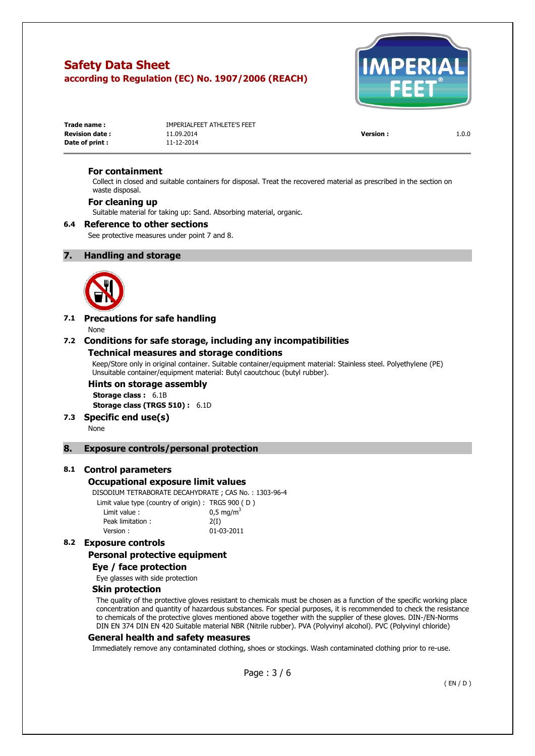

| Trade name:           | IMPERIALFEET ATHLETE'S FEET |                 |       |
|-----------------------|-----------------------------|-----------------|-------|
| <b>Revision date:</b> | 11.09.2014                  | <b>Version:</b> | 1.0.0 |
| Date of print :       | 11-12-2014                  |                 |       |

### **For containment**

Collect in closed and suitable containers for disposal. Treat the recovered material as prescribed in the section on waste disposal.

### **For cleaning up**

Suitable material for taking up: Sand. Absorbing material, organic.

#### **6.4 Reference to other sections**

See protective measures under point 7 and 8.

### **7. Handling and storage**



### **7.1 Precautions for safe handling**

None

### **7.2 Conditions for safe storage, including any incompatibilities**

### **Technical measures and storage conditions**

Keep/Store only in original container. Suitable container/equipment material: Stainless steel. Polyethylene (PE) Unsuitable container/equipment material: Butyl caoutchouc (butyl rubber).

### **Hints on storage assembly**

**Storage class :** 6.1B **Storage class (TRGS 510) :** 6.1D

**7.3 Specific end use(s)** 

None

### **8. Exposure controls/personal protection**

#### **8.1 Control parameters**

#### **Occupational exposure limit values**

DISODIUM TETRABORATE DECAHYDRATE ; CAS No. : 1303-96-4 Limit value type (country of origin) : TRGS 900 ( D ) Limit value :  $0.5 \text{ ma/m}^3$ 

| Peak limitation: | 2(I)       |
|------------------|------------|
| Version:         | 01-03-2011 |

### **8.2 Exposure controls**

### **Personal protective equipment**

### **Eye / face protection**

Eye glasses with side protection

### **Skin protection**

The quality of the protective gloves resistant to chemicals must be chosen as a function of the specific working place concentration and quantity of hazardous substances. For special purposes, it is recommended to check the resistance to chemicals of the protective gloves mentioned above together with the supplier of these gloves. DIN-/EN-Norms DIN EN 374 DIN EN 420 Suitable material NBR (Nitrile rubber). PVA (Polyvinyl alcohol). PVC (Polyvinyl chloride)

#### **General health and safety measures**

Immediately remove any contaminated clothing, shoes or stockings. Wash contaminated clothing prior to re-use.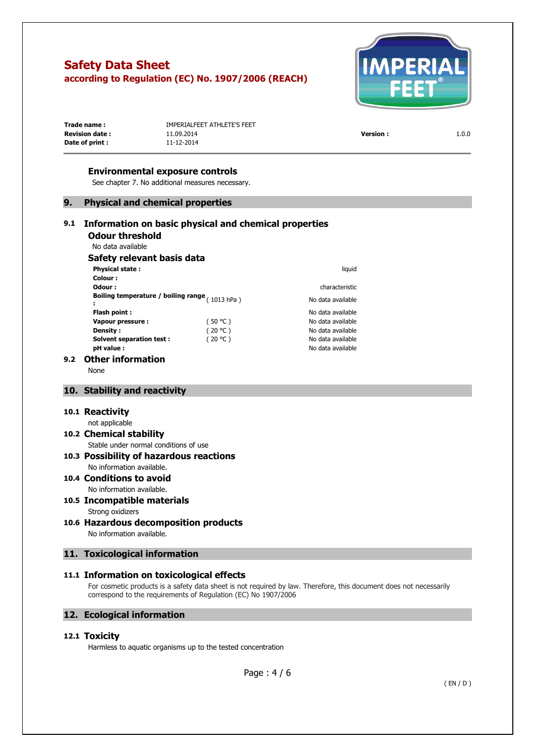

| Trade name:           | IMPERIALFEET ATHLETE'S FEET |                 |       |
|-----------------------|-----------------------------|-----------------|-------|
| <b>Revision date:</b> | 11.09.2014                  | <b>Version:</b> | 1.0.0 |
| Date of print :       | 11-12-2014                  |                 |       |
|                       |                             |                 |       |

### **Environmental exposure controls**

See chapter 7. No additional measures necessary.

### **9. Physical and chemical properties**

#### **9.1 Information on basic physical and chemical properties Odour threshold**  No data available **Safety relevant basis data Physical state : liquid Colour : Odour : characteristic Boiling temperature / boiling range :**  No data available **Flash point :** No data available **Vapour pressure :**  $(50 °C)$  No data available **Density :**  $(20 °C)$  No data available

**Solvent separation test :**  $(20 °C)$  No data available **pH value :** No data available

### **9.2 Other information**

None

### **10. Stability and reactivity**

#### **10.1 Reactivity**

#### not applicable

#### **10.2 Chemical stability**  Stable under normal conditions of use

# **10.3 Possibility of hazardous reactions**

### No information available. **10.4 Conditions to avoid**  No information available.

## **10.5 Incompatible materials**  Strong oxidizers

**10.6 Hazardous decomposition products**  No information available.

### **11. Toxicological information**

### **11.1 Information on toxicological effects**

For cosmetic products is a safety data sheet is not required by law. Therefore, this document does not necessarily correspond to the requirements of Regulation (EC) No 1907/2006

### **12. Ecological information**

### **12.1 Toxicity**

Harmless to aquatic organisms up to the tested concentration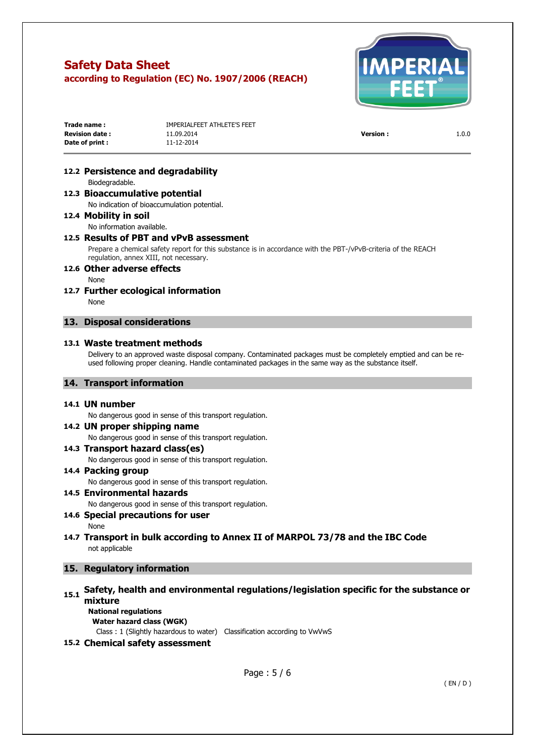

| Trade name:            | IMPERIALFEET ATHLETE'S FEET |                |       |
|------------------------|-----------------------------|----------------|-------|
| <b>Revision date :</b> | 11.09.2014                  | <b>Version</b> | 1.0.0 |
| Date of print :        | 11-12-2014                  |                |       |

### **12.2 Persistence and degradability**

Biodegradable.

### **12.3 Bioaccumulative potential**

No indication of bioaccumulation potential.

### **12.4 Mobility in soil**

No information available.

### **12.5 Results of PBT and vPvB assessment**

Prepare a chemical safety report for this substance is in accordance with the PBT-/vPvB-criteria of the REACH regulation, annex XIII, not necessary.

### **12.6 Other adverse effects**

None

**12.7 Further ecological information**  None

### **13. Disposal considerations**

### **13.1 Waste treatment methods**

Delivery to an approved waste disposal company. Contaminated packages must be completely emptied and can be reused following proper cleaning. Handle contaminated packages in the same way as the substance itself.

### **14. Transport information**

#### **14.1 UN number**

No dangerous good in sense of this transport regulation.

### **14.2 UN proper shipping name**

No dangerous good in sense of this transport regulation.

**14.3 Transport hazard class(es)**  No dangerous good in sense of this transport regulation.

### **14.4 Packing group**

No dangerous good in sense of this transport regulation.

### **14.5 Environmental hazards**

No dangerous good in sense of this transport regulation.

### **14.6 Special precautions for user**

None

**14.7 Transport in bulk according to Annex II of MARPOL 73/78 and the IBC Code**  not applicable

### **15. Regulatory information**

# **15.1 Safety, health and environmental regulations/legislation specific for the substance or mixture**

**National regulations Water hazard class (WGK)** 

Class : 1 (Slightly hazardous to water) Classification according to VwVwS

### **15.2 Chemical safety assessment**